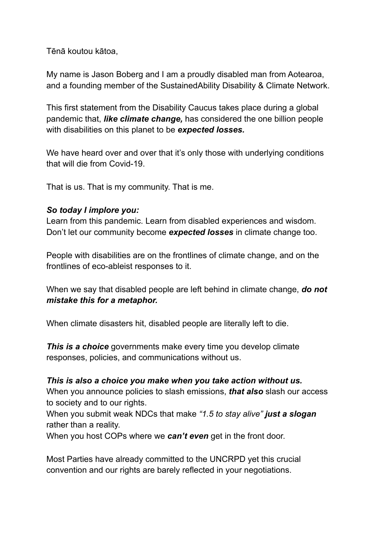Tēnā koutou kātoa,

My name is Jason Boberg and I am a proudly disabled man from Aotearoa, and a founding member of the SustainedAbility Disability & Climate Network.

This first statement from the Disability Caucus takes place during a global pandemic that, *like climate change,* has considered the one billion people with disabilities on this planet to be *expected losses.*

We have heard over and over that it's only those with underlying conditions that will die from Covid-19.

That is us. That is my community. That is me.

## *So today I implore you:*

Learn from this pandemic. Learn from disabled experiences and wisdom. Don't let our community become *expected losses* in climate change too.

People with disabilities are on the frontlines of climate change, and on the frontlines of eco-ableist responses to it.

When we say that disabled people are left behind in climate change, *do not mistake this for a metaphor.*

When climate disasters hit, disabled people are literally left to die.

*This is a choice* governments make every time you develop climate responses, policies, and communications without us.

## *This is also a choice you make when you take action without us.*

When you announce policies to slash emissions, *that also* slash our access to society and to our rights.

When you submit weak NDCs that make *"1.5 to stay alive" just a slogan* rather than a reality.

When you host COPs where we *can't even* get in the front door.

Most Parties have already committed to the UNCRPD yet this crucial convention and our rights are barely reflected in your negotiations.